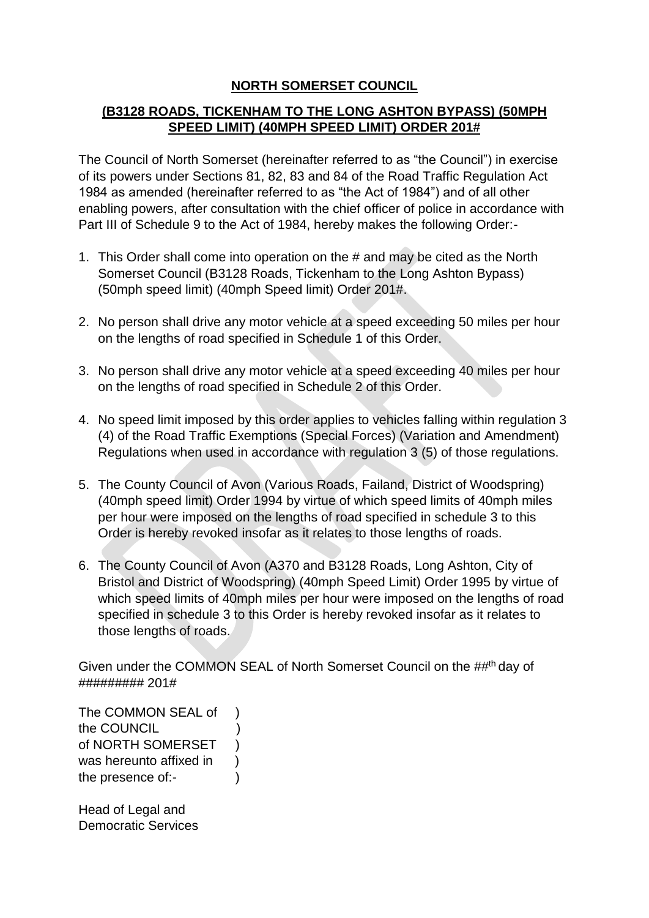# **NORTH SOMERSET COUNCIL**

# **(B3128 ROADS, TICKENHAM TO THE LONG ASHTON BYPASS) (50MPH SPEED LIMIT) (40MPH SPEED LIMIT) ORDER 201#**

The Council of North Somerset (hereinafter referred to as "the Council") in exercise of its powers under Sections 81, 82, 83 and 84 of the Road Traffic Regulation Act 1984 as amended (hereinafter referred to as "the Act of 1984") and of all other enabling powers, after consultation with the chief officer of police in accordance with Part III of Schedule 9 to the Act of 1984, hereby makes the following Order:-

- 1. This Order shall come into operation on the # and may be cited as the North Somerset Council (B3128 Roads, Tickenham to the Long Ashton Bypass) (50mph speed limit) (40mph Speed limit) Order 201#.
- 2. No person shall drive any motor vehicle at a speed exceeding 50 miles per hour on the lengths of road specified in Schedule 1 of this Order.
- 3. No person shall drive any motor vehicle at a speed exceeding 40 miles per hour on the lengths of road specified in Schedule 2 of this Order.
- 4. No speed limit imposed by this order applies to vehicles falling within regulation 3 (4) of the Road Traffic Exemptions (Special Forces) (Variation and Amendment) Regulations when used in accordance with regulation 3 (5) of those regulations.
- 5. The County Council of Avon (Various Roads, Failand, District of Woodspring) (40mph speed limit) Order 1994 by virtue of which speed limits of 40mph miles per hour were imposed on the lengths of road specified in schedule 3 to this Order is hereby revoked insofar as it relates to those lengths of roads.
- 6. The County Council of Avon (A370 and B3128 Roads, Long Ashton, City of Bristol and District of Woodspring) (40mph Speed Limit) Order 1995 by virtue of which speed limits of 40mph miles per hour were imposed on the lengths of road specified in schedule 3 to this Order is hereby revoked insofar as it relates to those lengths of roads.

Given under the COMMON SEAL of North Somerset Council on the ##<sup>th</sup> day of ######### 201#

The COMMON SEAL of ) the COUNCIL ) of NORTH SOMERSET ) was hereunto affixed in  $\qquad$  ) the presence of:-

Head of Legal and Democratic Services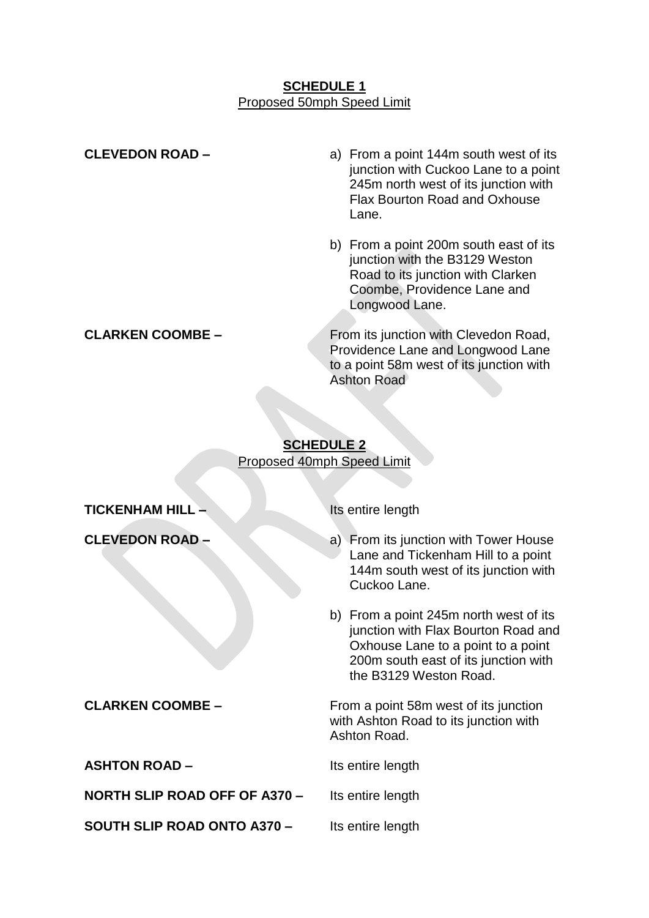#### **SCHEDULE 1** Proposed 50mph Speed Limit

| <b>CLEVEDON ROAD -</b>  | a) From a point 144m south west of its<br>junction with Cuckoo Lane to a point<br>245m north west of its junction with<br><b>Flax Bourton Road and Oxhouse</b><br>Lane. |
|-------------------------|-------------------------------------------------------------------------------------------------------------------------------------------------------------------------|
|                         | b) From a point 200m south east of its<br>junction with the B3129 Weston<br>Road to its junction with Clarken<br>Coombe, Providence Lane and<br>Longwood Lane.          |
| <b>CLARKEN COOMBE -</b> | From its junction with Clevedon Road,<br>Providence Lane and Longwood Lane<br>to a point 58m west of its junction with<br><b>Ashton Road</b>                            |

# **SCHEDULE 2** Proposed 40mph Speed Limit

**TICKENHAM HILL –** Its entire length

**ASHTON ROAD –** Its entire length

**NORTH SLIP ROAD OFF OF A370 -** Its entire length

**SOUTH SLIP ROAD ONTO A370 – Its entire length** 

- **CLEVEDON ROAD –** a) From its junction with Tower House Lane and Tickenham Hill to a point 144m south west of its junction with Cuckoo Lane.
	- b) From a point 245m north west of its junction with Flax Bourton Road and Oxhouse Lane to a point to a point 200m south east of its junction with the B3129 Weston Road.

**CLARKEN COOMBE –** From a point 58m west of its junction with Ashton Road to its junction with Ashton Road.